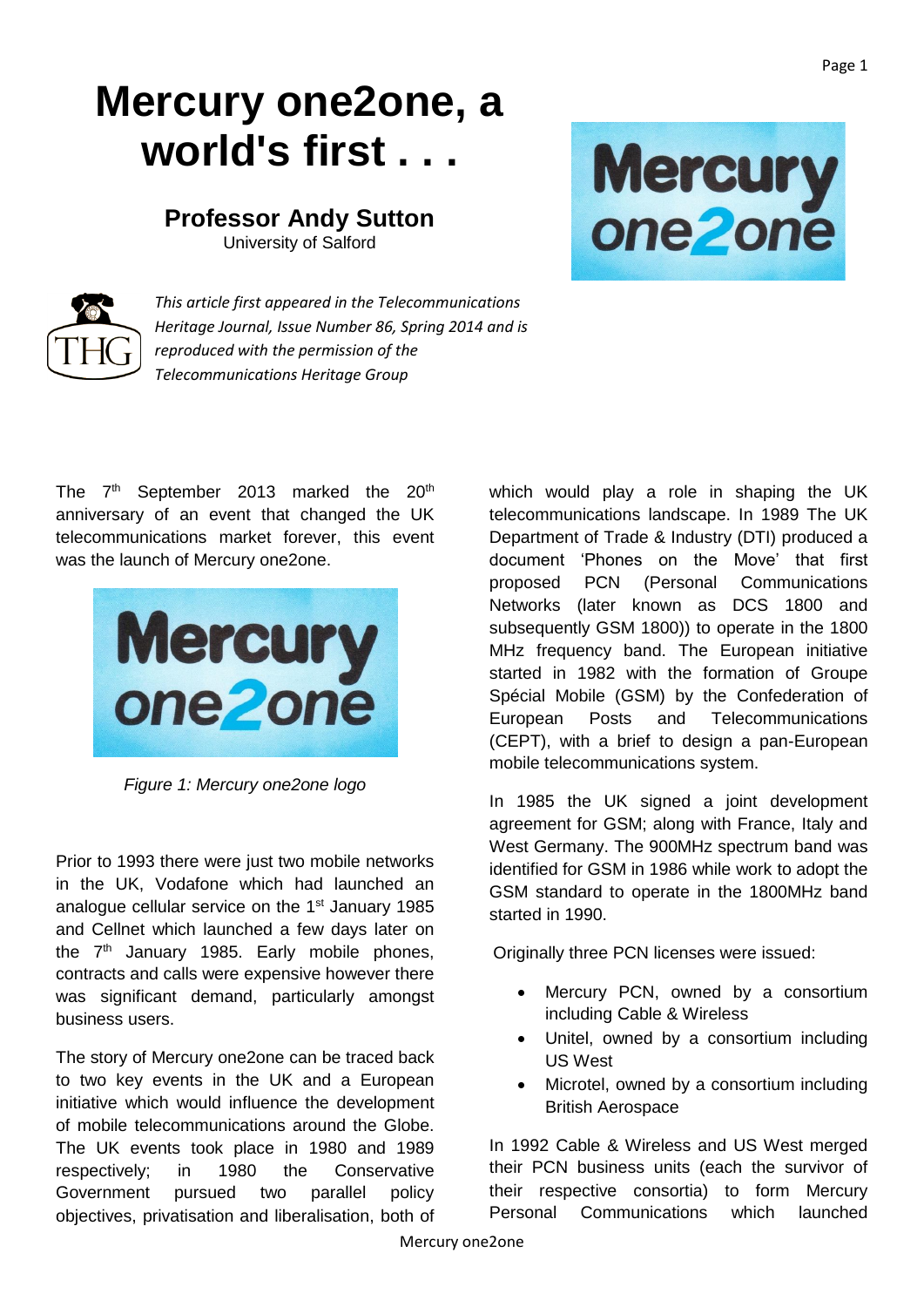## **Mercury one2one, a world's first . . .**

## **Professor Andy Sutton**

University of Salford



*This article first appeared in the Telecommunications Heritage Journal, Issue Number 86, Spring 2014 and is reproduced with the permission of the Telecommunications Heritage Group*

The  $7<sup>th</sup>$  September 2013 marked the 20<sup>th</sup> anniversary of an event that changed the UK telecommunications market forever, this event was the launch of Mercury one2one.



*Figure 1: Mercury one2one logo*

Prior to 1993 there were just two mobile networks in the UK, Vodafone which had launched an analogue cellular service on the 1<sup>st</sup> January 1985 and Cellnet which launched a few days later on the  $7<sup>th</sup>$  January 1985. Early mobile phones, contracts and calls were expensive however there was significant demand, particularly amongst business users.

The story of Mercury one2one can be traced back to two key events in the UK and a European initiative which would influence the development of mobile telecommunications around the Globe. The UK events took place in 1980 and 1989 respectively; in 1980 the Conservative Government pursued two parallel policy objectives, privatisation and liberalisation, both of

which would play a role in shaping the UK telecommunications landscape. In 1989 The UK Department of Trade & Industry (DTI) produced a document 'Phones on the Move' that first proposed PCN (Personal Communications Networks (later known as DCS 1800 and subsequently GSM 1800)) to operate in the 1800 MHz frequency band. The European initiative started in 1982 with the formation of Groupe Spécial Mobile (GSM) by the Confederation of European Posts and Telecommunications (CEPT), with a brief to design a pan-European mobile telecommunications system.

Mercury<br>one2one

In 1985 the UK signed a joint development agreement for GSM; along with France, Italy and West Germany. The 900MHz spectrum band was identified for GSM in 1986 while work to adopt the GSM standard to operate in the 1800MHz band started in 1990.

Originally three PCN licenses were issued:

- Mercury PCN, owned by a consortium including Cable & Wireless
- Unitel, owned by a consortium including US West
- Microtel, owned by a consortium including British Aerospace

In 1992 Cable & Wireless and US West merged their PCN business units (each the survivor of their respective consortia) to form Mercury Personal Communications which launched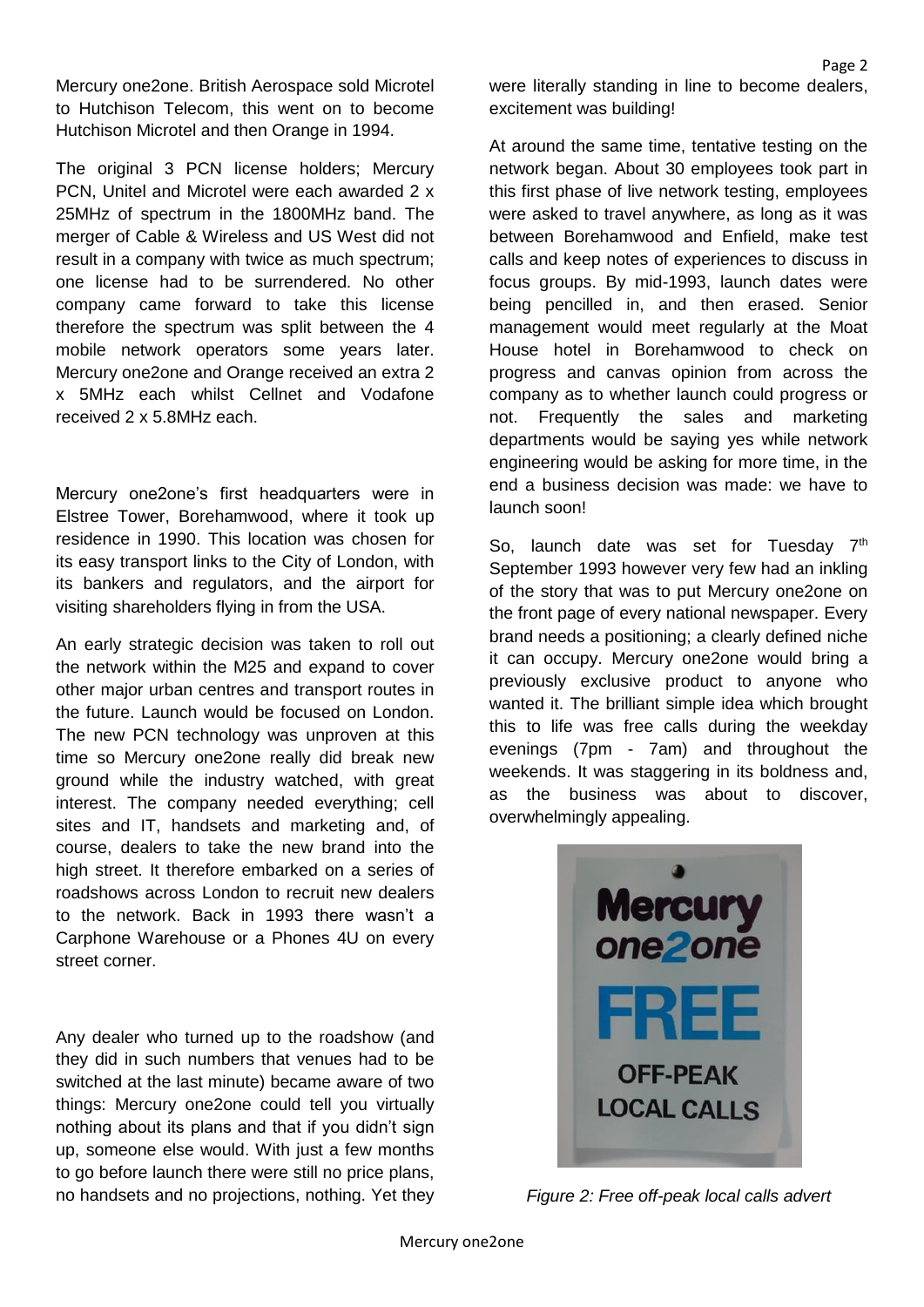Mercury one2one. British Aerospace sold Microtel to Hutchison Telecom, this went on to become Hutchison Microtel and then Orange in 1994.

The original 3 PCN license holders; Mercury PCN, Unitel and Microtel were each awarded 2 x 25MHz of spectrum in the 1800MHz band. The merger of Cable & Wireless and US West did not result in a company with twice as much spectrum; one license had to be surrendered. No other company came forward to take this license therefore the spectrum was split between the 4 mobile network operators some years later. Mercury one2one and Orange received an extra 2 x 5MHz each whilst Cellnet and Vodafone received 2 x 5.8MHz each.

Mercury one2one's first headquarters were in Elstree Tower, Borehamwood, where it took up residence in 1990. This location was chosen for its easy transport links to the City of London, with its bankers and regulators, and the airport for visiting shareholders flying in from the USA.

An early strategic decision was taken to roll out the network within the M25 and expand to cover other major urban centres and transport routes in the future. Launch would be focused on London. The new PCN technology was unproven at this time so Mercury one2one really did break new ground while the industry watched, with great interest. The company needed everything; cell sites and IT, handsets and marketing and, of course, dealers to take the new brand into the high street. It therefore embarked on a series of roadshows across London to recruit new dealers to the network. Back in 1993 there wasn't a Carphone Warehouse or a Phones 4U on every street corner.

Any dealer who turned up to the roadshow (and they did in such numbers that venues had to be switched at the last minute) became aware of two things: Mercury one2one could tell you virtually nothing about its plans and that if you didn't sign up, someone else would. With just a few months to go before launch there were still no price plans, no handsets and no projections, nothing. Yet they were literally standing in line to become dealers, excitement was building!

At around the same time, tentative testing on the network began. About 30 employees took part in this first phase of live network testing, employees were asked to travel anywhere, as long as it was between Borehamwood and Enfield, make test calls and keep notes of experiences to discuss in focus groups. By mid-1993, launch dates were being pencilled in, and then erased. Senior management would meet regularly at the Moat House hotel in Borehamwood to check on progress and canvas opinion from across the company as to whether launch could progress or not. Frequently the sales and marketing departments would be saying yes while network engineering would be asking for more time, in the end a business decision was made: we have to launch soon!

So, launch date was set for Tuesday 7<sup>th</sup> September 1993 however very few had an inkling of the story that was to put Mercury one2one on the front page of every national newspaper. Every brand needs a positioning; a clearly defined niche it can occupy. Mercury one2one would bring a previously exclusive product to anyone who wanted it. The brilliant simple idea which brought this to life was free calls during the weekday evenings (7pm - 7am) and throughout the weekends. It was staggering in its boldness and, as the business was about to discover, overwhelmingly appealing.



*Figure 2: Free off-peak local calls advert*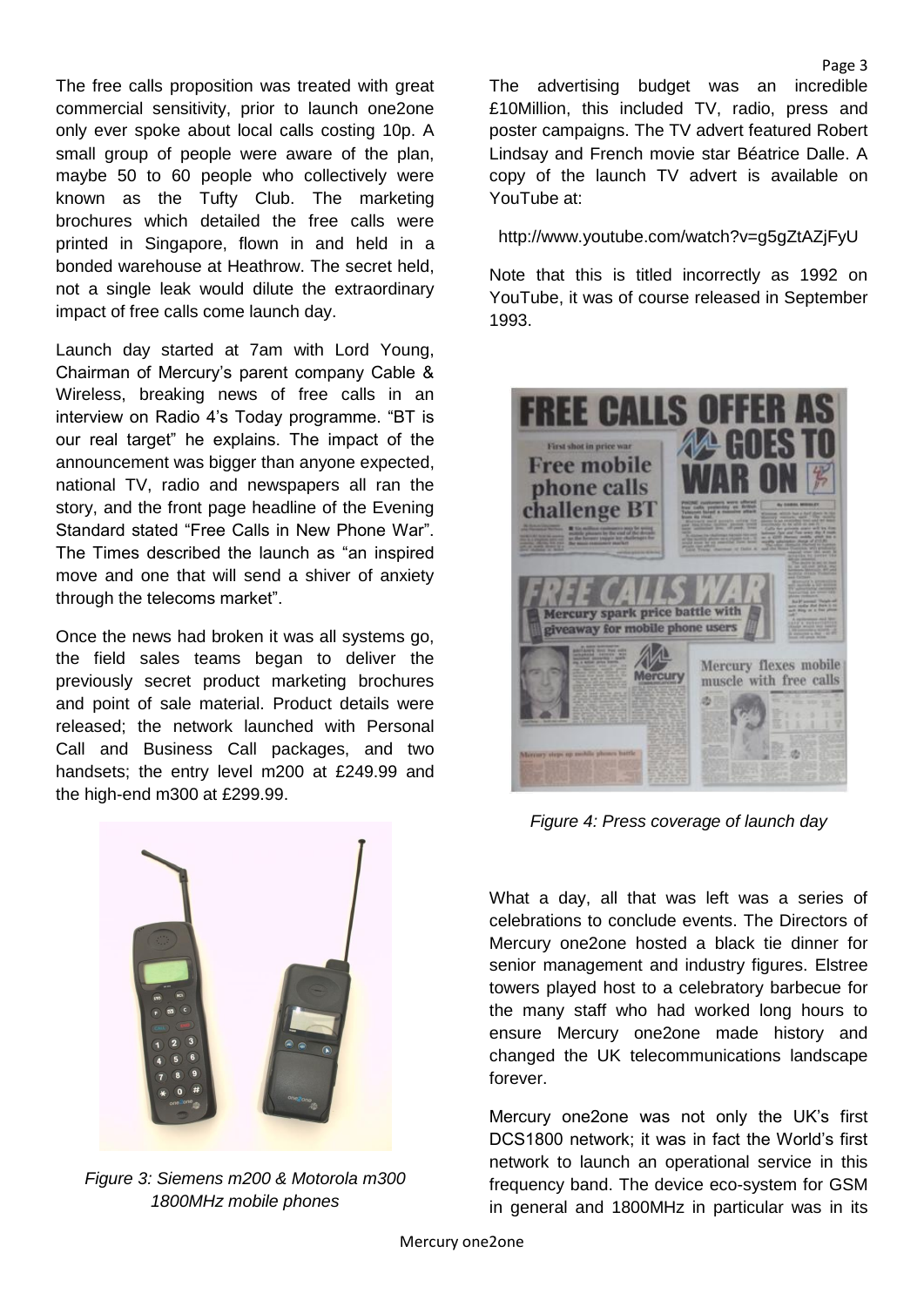The free calls proposition was treated with great commercial sensitivity, prior to launch one2one only ever spoke about local calls costing 10p. A small group of people were aware of the plan, maybe 50 to 60 people who collectively were known as the Tufty Club. The marketing brochures which detailed the free calls were printed in Singapore, flown in and held in a bonded warehouse at Heathrow. The secret held, not a single leak would dilute the extraordinary impact of free calls come launch day.

Launch day started at 7am with Lord Young, Chairman of Mercury's parent company Cable & Wireless, breaking news of free calls in an interview on Radio 4's Today programme. "BT is our real target" he explains. The impact of the announcement was bigger than anyone expected, national TV, radio and newspapers all ran the story, and the front page headline of the Evening Standard stated "Free Calls in New Phone War". The Times described the launch as "an inspired move and one that will send a shiver of anxiety through the telecoms market".

Once the news had broken it was all systems go, the field sales teams began to deliver the previously secret product marketing brochures and point of sale material. Product details were released; the network launched with Personal Call and Business Call packages, and two handsets; the entry level m200 at £249.99 and the high-end m300 at £299.99.



*Figure 3: Siemens m200 & Motorola m300 1800MHz mobile phones*

The advertising budget was an incredible £10Million, this included TV, radio, press and poster campaigns. The TV advert featured Robert Lindsay and French movie star Béatrice Dalle. A copy of the launch TV advert is available on YouTube at:

http://www.youtube.com/watch?v=g5gZtAZjFyU

Note that this is titled incorrectly as 1992 on YouTube, it was of course released in September 1993.



*Figure 4: Press coverage of launch day*

What a day, all that was left was a series of celebrations to conclude events. The Directors of Mercury one2one hosted a black tie dinner for senior management and industry figures. Elstree towers played host to a celebratory barbecue for the many staff who had worked long hours to ensure Mercury one2one made history and changed the UK telecommunications landscape forever.

Mercury one2one was not only the UK's first DCS1800 network; it was in fact the World's first network to launch an operational service in this frequency band. The device eco-system for GSM in general and 1800MHz in particular was in its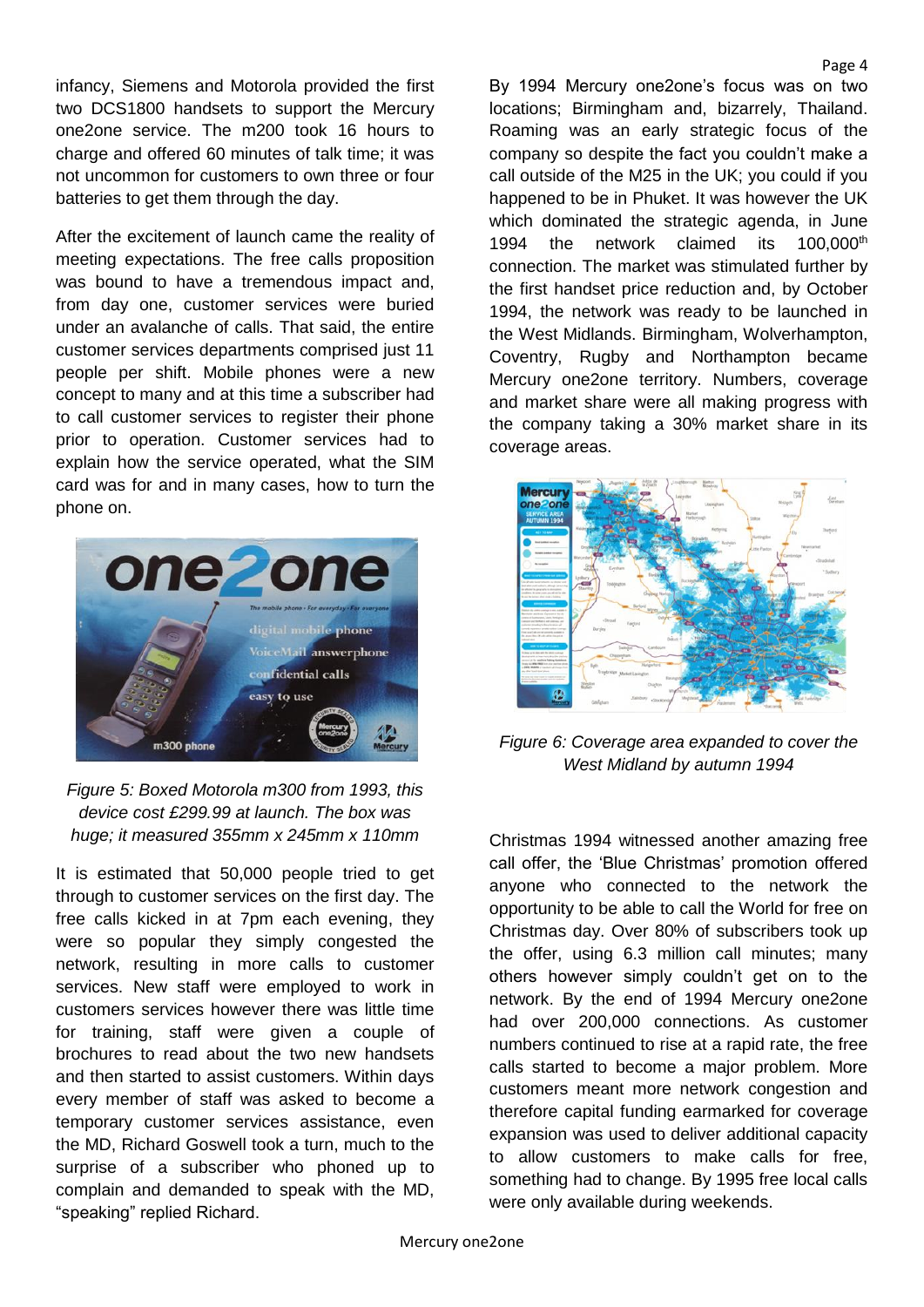infancy, Siemens and Motorola provided the first two DCS1800 handsets to support the Mercury one2one service. The m200 took 16 hours to charge and offered 60 minutes of talk time; it was not uncommon for customers to own three or four batteries to get them through the day.

After the excitement of launch came the reality of meeting expectations. The free calls proposition was bound to have a tremendous impact and, from day one, customer services were buried under an avalanche of calls. That said, the entire customer services departments comprised just 11 people per shift. Mobile phones were a new concept to many and at this time a subscriber had to call customer services to register their phone prior to operation. Customer services had to explain how the service operated, what the SIM card was for and in many cases, how to turn the phone on.



*Figure 5: Boxed Motorola m300 from 1993, this device cost £299.99 at launch. The box was huge; it measured 355mm x 245mm x 110mm*

It is estimated that 50,000 people tried to get through to customer services on the first day. The free calls kicked in at 7pm each evening, they were so popular they simply congested the network, resulting in more calls to customer services. New staff were employed to work in customers services however there was little time for training, staff were given a couple of brochures to read about the two new handsets and then started to assist customers. Within days every member of staff was asked to become a temporary customer services assistance, even the MD, Richard Goswell took a turn, much to the surprise of a subscriber who phoned up to complain and demanded to speak with the MD, "speaking" replied Richard.

By 1994 Mercury one2one's focus was on two locations; Birmingham and, bizarrely, Thailand. Roaming was an early strategic focus of the company so despite the fact you couldn't make a call outside of the M25 in the UK; you could if you happened to be in Phuket. It was however the UK which dominated the strategic agenda, in June 1994 the network claimed its 100,000<sup>th</sup> connection. The market was stimulated further by the first handset price reduction and, by October 1994, the network was ready to be launched in the West Midlands. Birmingham, Wolverhampton, Coventry, Rugby and Northampton became Mercury one2one territory. Numbers, coverage and market share were all making progress with the company taking a 30% market share in its coverage areas.

Page 4



*Figure 6: Coverage area expanded to cover the West Midland by autumn 1994*

Christmas 1994 witnessed another amazing free call offer, the 'Blue Christmas' promotion offered anyone who connected to the network the opportunity to be able to call the World for free on Christmas day. Over 80% of subscribers took up the offer, using 6.3 million call minutes; many others however simply couldn't get on to the network. By the end of 1994 Mercury one2one had over 200,000 connections. As customer numbers continued to rise at a rapid rate, the free calls started to become a major problem. More customers meant more network congestion and therefore capital funding earmarked for coverage expansion was used to deliver additional capacity to allow customers to make calls for free, something had to change. By 1995 free local calls were only available during weekends.